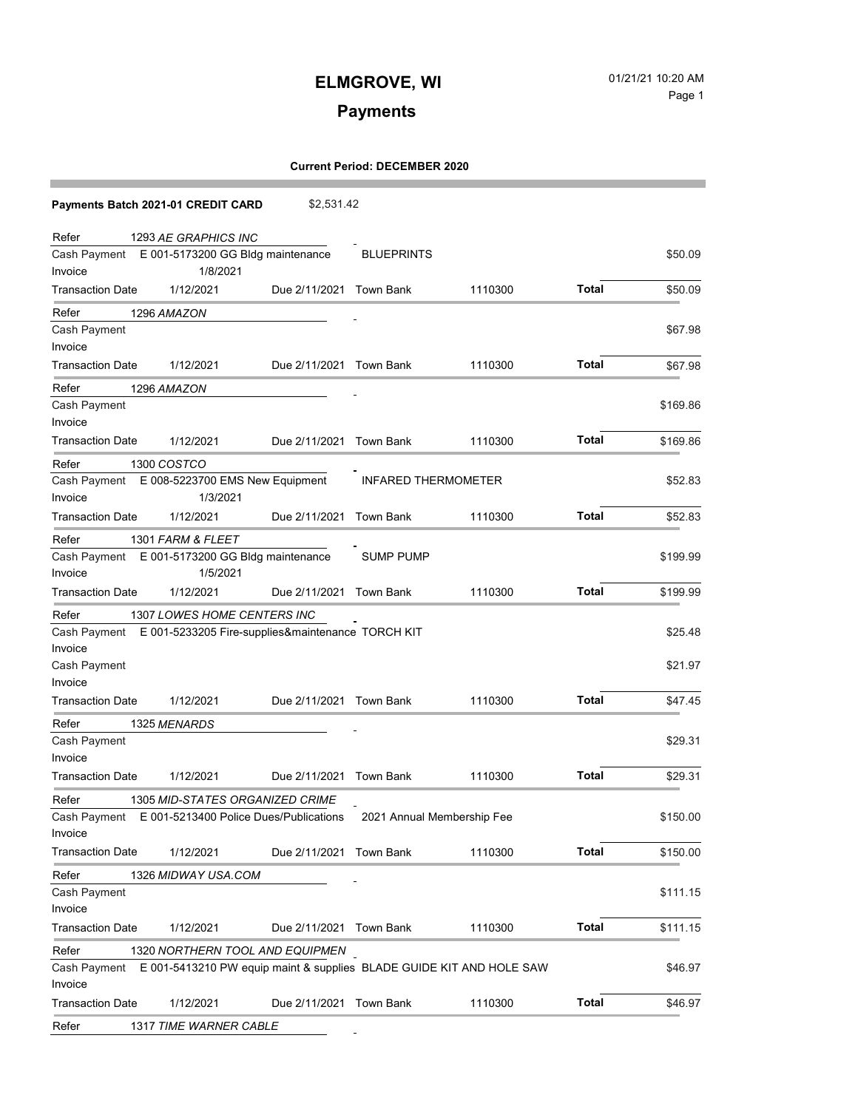# **Payments**

### **Current Period: DECEMBER 2020**

| Payments Batch 2021-01 CREDIT CARD                                                   | \$2,531.42                 |                   |         |              |          |
|--------------------------------------------------------------------------------------|----------------------------|-------------------|---------|--------------|----------|
| 1293 AE GRAPHICS INC<br>Refer                                                        |                            |                   |         |              |          |
| Cash Payment E 001-5173200 GG Bldg maintenance                                       |                            | <b>BLUEPRINTS</b> |         |              | \$50.09  |
| Invoice<br>1/8/2021                                                                  |                            |                   |         |              |          |
| <b>Transaction Date</b><br>1/12/2021                                                 | Due 2/11/2021 Town Bank    |                   | 1110300 | Total        | \$50.09  |
| 1296 AMAZON<br>Refer                                                                 |                            |                   |         |              |          |
| Cash Payment                                                                         |                            |                   |         |              | \$67.98  |
| Invoice                                                                              |                            |                   |         |              |          |
| <b>Transaction Date</b><br>1/12/2021                                                 | Due 2/11/2021 Town Bank    |                   | 1110300 | <b>Total</b> | \$67.98  |
| Refer<br>1296 AMAZON                                                                 |                            |                   |         |              |          |
| Cash Payment                                                                         |                            |                   |         |              | \$169.86 |
| Invoice                                                                              |                            |                   |         |              |          |
| <b>Transaction Date</b><br>1/12/2021                                                 | Due 2/11/2021 Town Bank    |                   | 1110300 | <b>Total</b> | \$169.86 |
| 1300 COSTCO<br>Refer                                                                 |                            |                   |         |              |          |
| Cash Payment E 008-5223700 EMS New Equipment                                         | <b>INFARED THERMOMETER</b> |                   |         | \$52.83      |          |
| Invoice<br>1/3/2021                                                                  |                            |                   |         |              |          |
| <b>Transaction Date</b><br>1/12/2021                                                 | Due 2/11/2021 Town Bank    |                   | 1110300 | <b>Total</b> | \$52.83  |
| Refer<br>1301 FARM & FLEET                                                           |                            |                   |         |              |          |
| Cash Payment E 001-5173200 GG Bldg maintenance                                       |                            | <b>SUMP PUMP</b>  |         |              | \$199.99 |
| Invoice<br>1/5/2021                                                                  |                            |                   |         |              |          |
| <b>Transaction Date</b><br>1/12/2021                                                 | Due 2/11/2021 Town Bank    |                   | 1110300 | <b>Total</b> | \$199.99 |
| Refer<br>1307 LOWES HOME CENTERS INC                                                 |                            |                   |         |              |          |
| Cash Payment E 001-5233205 Fire-supplies&maintenance TORCH KIT                       |                            |                   |         |              | \$25.48  |
| Invoice                                                                              |                            |                   |         |              |          |
| Cash Payment                                                                         |                            |                   |         |              | \$21.97  |
| Invoice                                                                              |                            |                   |         |              |          |
| <b>Transaction Date</b><br>1/12/2021                                                 | Due 2/11/2021 Town Bank    |                   | 1110300 | <b>Total</b> | \$47.45  |
| Refer<br>1325 MENARDS                                                                |                            |                   |         |              |          |
| Cash Payment                                                                         |                            |                   |         |              | \$29.31  |
| Invoice                                                                              |                            |                   |         |              |          |
| <b>Transaction Date</b><br>1/12/2021                                                 | Due 2/11/2021 Town Bank    |                   | 1110300 | <b>Total</b> | \$29.31  |
| 1305 MID-STATES ORGANIZED CRIME<br>Refer                                             |                            |                   |         |              |          |
| Cash Payment E 001-5213400 Police Dues/Publications 2021 Annual Membership Fee       |                            |                   |         |              | \$150.00 |
| Invoice                                                                              |                            |                   |         |              |          |
| <b>Transaction Date</b><br>1/12/2021                                                 | Due 2/11/2021 Town Bank    |                   | 1110300 | <b>Total</b> | \$150.00 |
| Refer<br>1326 MIDWAY USA.COM                                                         |                            |                   |         |              |          |
| Cash Payment                                                                         |                            |                   |         |              | \$111.15 |
| Invoice                                                                              |                            |                   |         |              |          |
| <b>Transaction Date</b><br>1/12/2021                                                 | Due 2/11/2021 Town Bank    |                   | 1110300 | <b>Total</b> | \$111.15 |
| Refer<br>1320 NORTHERN TOOL AND EQUIPMEN                                             |                            |                   |         |              |          |
| E 001-5413210 PW equip maint & supplies BLADE GUIDE KIT AND HOLE SAW<br>Cash Payment |                            |                   |         |              | \$46.97  |
| Invoice                                                                              |                            |                   |         |              |          |
| 1/12/2021<br><b>Transaction Date</b>                                                 | Due 2/11/2021 Town Bank    |                   | 1110300 | <b>Total</b> | \$46.97  |
| Refer<br>1317 TIME WARNER CABLE                                                      |                            |                   |         |              |          |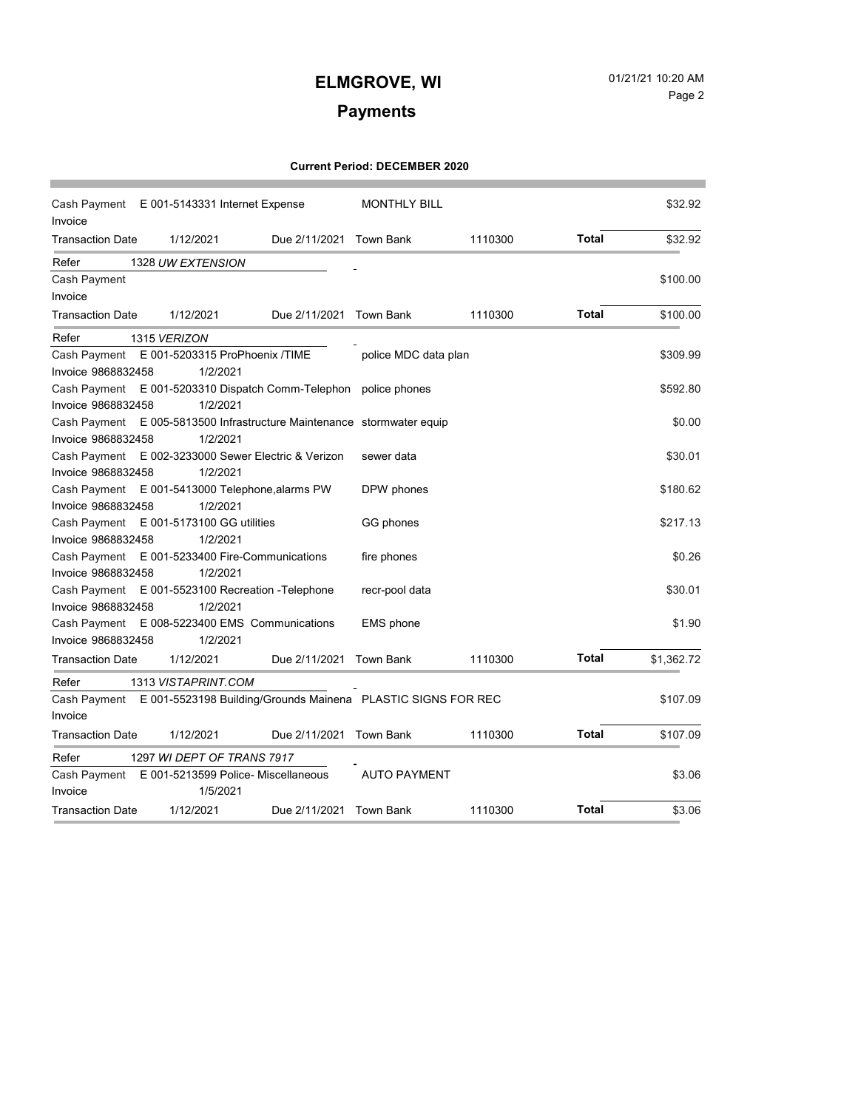# **Payments**

### **Current Period: DECEMBER 2020**

| Cash Payment E 001-5143331 Internet Expense<br>Invoice |  | <b>MONTHLY BILL</b>                                       |                         |                                                              | \$32.92 |              |            |
|--------------------------------------------------------|--|-----------------------------------------------------------|-------------------------|--------------------------------------------------------------|---------|--------------|------------|
| <b>Transaction Date</b>                                |  | 1/12/2021                                                 | Due 2/11/2021 Town Bank |                                                              | 1110300 | <b>Total</b> | \$32.92    |
| Refer                                                  |  | 1328 UW EXTENSION                                         |                         |                                                              |         |              |            |
| Cash Payment                                           |  |                                                           |                         |                                                              |         |              | \$100.00   |
| Invoice                                                |  |                                                           |                         |                                                              |         |              |            |
| <b>Transaction Date</b>                                |  | 1/12/2021                                                 | Due 2/11/2021 Town Bank |                                                              | 1110300 | <b>Total</b> | \$100.00   |
| Refer                                                  |  | 1315 VERIZON                                              |                         |                                                              |         |              |            |
| Cash Payment                                           |  | E 001-5203315 ProPhoenix /TIME                            |                         | police MDC data plan                                         |         |              | \$309.99   |
| Invoice 9868832458                                     |  | 1/2/2021                                                  |                         |                                                              |         |              |            |
| Cash Payment                                           |  | E 001-5203310 Dispatch Comm-Telephon police phones        |                         |                                                              |         |              | \$592.80   |
| Invoice 9868832458                                     |  | 1/2/2021                                                  |                         |                                                              |         |              |            |
| Cash Payment                                           |  | E 005-5813500 Infrastructure Maintenance stormwater equip |                         |                                                              |         |              | \$0.00     |
| Invoice 9868832458                                     |  | 1/2/2021                                                  |                         |                                                              |         |              |            |
| Cash Payment                                           |  | E 002-3233000 Sewer Electric & Verizon                    |                         | sewer data                                                   |         |              | \$30.01    |
| Invoice 9868832458                                     |  | 1/2/2021                                                  |                         |                                                              |         |              |            |
| Cash Payment                                           |  | E 001-5413000 Telephone, alarms PW                        |                         | DPW phones                                                   |         |              | \$180.62   |
| Invoice 9868832458                                     |  | 1/2/2021                                                  |                         |                                                              |         |              |            |
| Cash Payment                                           |  | E 001-5173100 GG utilities                                |                         | GG phones                                                    |         |              | \$217.13   |
| Invoice 9868832458                                     |  | 1/2/2021                                                  |                         |                                                              |         |              |            |
| Cash Payment                                           |  | E 001-5233400 Fire-Communications                         |                         | fire phones                                                  |         |              | \$0.26     |
| Invoice 9868832458                                     |  | 1/2/2021                                                  |                         |                                                              |         |              |            |
| Cash Payment                                           |  | E 001-5523100 Recreation - Telephone                      |                         | recr-pool data                                               |         |              | \$30.01    |
| Invoice 9868832458                                     |  | 1/2/2021                                                  |                         |                                                              |         |              |            |
| Cash Payment                                           |  | E 008-5223400 EMS Communications                          |                         | <b>EMS</b> phone                                             |         |              | \$1.90     |
| Invoice 9868832458                                     |  | 1/2/2021                                                  |                         |                                                              |         |              |            |
| <b>Transaction Date</b>                                |  | 1/12/2021                                                 | Due 2/11/2021 Town Bank |                                                              | 1110300 | <b>Total</b> | \$1,362.72 |
| Refer                                                  |  | 1313 VISTAPRINT.COM                                       |                         |                                                              |         |              |            |
| Cash Payment                                           |  |                                                           |                         | E 001-5523198 Building/Grounds Mainena PLASTIC SIGNS FOR REC |         |              | \$107.09   |
| Invoice                                                |  |                                                           |                         |                                                              |         |              |            |
| <b>Transaction Date</b>                                |  | 1/12/2021                                                 | Due 2/11/2021 Town Bank |                                                              | 1110300 | <b>Total</b> | \$107.09   |
| Refer                                                  |  | 1297 WI DEPT OF TRANS 7917                                |                         |                                                              |         |              |            |
| Cash Payment                                           |  | E 001-5213599 Police- Miscellaneous                       |                         | <b>AUTO PAYMENT</b>                                          |         |              | \$3.06     |
| Invoice                                                |  | 1/5/2021                                                  |                         |                                                              |         |              |            |
| <b>Transaction Date</b>                                |  | 1/12/2021                                                 | Due 2/11/2021           | Town Bank                                                    | 1110300 | <b>Total</b> | \$3.06     |